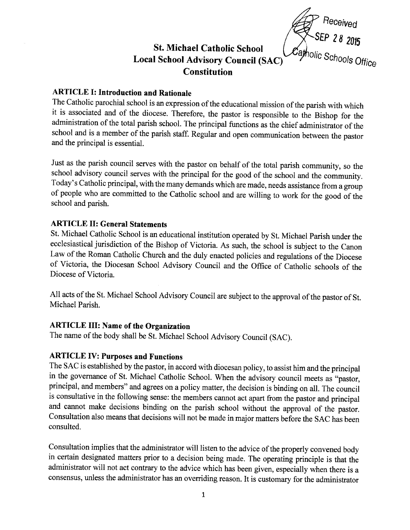

# St. Michael Catholic School Local School Advisory Council (SAC) **Constitution**

ARTICLE I: Introduction and Rationale<br>The Catholic parochial school is an expression of the educational mission of the parish with which it is associated and of the diocese. Therefore, the pastor is responsible to the Bishop for the administration of the total parish school. The principal functions as the chief administrator of the school and is a member of the parish staff. Regular and open communication between the pastor and the principal is essential.

Just as the parish council serves with the pastor on behalf of the total parish community, so the school advisory council serves with the principal for the good of the school and the community. Today's Catholic principal, with the many demands which are made, needs assistance from a group of people who are committed to the Catholic school and are willing to work for the good of the school and parish.

## ARTICLE II: General Statements

St. Michael Catholic School is an educational institution operated by St. Michael parish under the ecclesiastical jurisdiction of the Bishop of Victoria. As such, the school is subject to the Canon Law of the Roman Catholic Church and the duly enacted policies and regulations of the Diocese of Victoria, the Diocesan School Advisory Council and the Office of Catholic schools of the Diocese of Victoria.

All acts of the St. Michael School Advisory Council are subject to the approval of the pastor of St. Michael Parish.

# ARTICLE III: Name of the Organization

The name of the body shall be st. Michael school Advisory council (sAC).

### ARTICLE IV: Purposes and Functions

The SAC is established by the pastor, in accord with diocesan policy, to assist him and the principal in the governance of St. Michael Catholic School. When the advisory council meets as "pastor, principal, and members" and agrees on a policy matter, the decision is binding on all. The council is consultative in the following sense: the members cannot act apart from the pastor and principal and cannot make decisions binding on the parish school without the approval of the pastor. Consultation also means that decisions will not be made in major matters before the SAC has been consulted.

Consultation implies that the administrator will listen to the advice of the properly convened body in certain designated matters prior to a decision being made. The operating principle is that the administrator will not act contrary to the advice which has been given, especially when there is <sup>a</sup> consensus, unless the administrator has an oveniding reason. It is customary for the administrator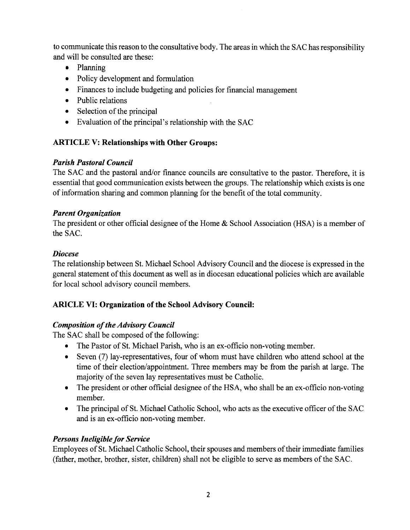to communicate this reason to the consultative body. The areas in which the SAC has responsibility and will be consulted are these:

- Planning
- Policy development and formulation
- o Finances to include budgeting and policies for financial management
- Public relations
- Selection of the principal
- Evaluation of the principal's relationship with the SAC

# ARTICLE V: Relationships with Other Groups:

# Parish Pastoral Council

The SAC and the pastoral and/or finance councils are consultative to the pastor. Therefore, it is essential that good communication exists between the groups. The relationship which exists is one of information sharing and common planning for the benefit of the total community.

## Parent Organization

The president or other official designee of the Home & School Association (HSA) is a member of the SAC.

## Diocese

The relationship between St. Michael School Advisory Council and the diocese is expressed in the general statement of this document as well as in diocesan educational policies which are available for local school advisory council members.

# ARICLE VI: Organization of the School Advisory Council:

# Composition of the Advisory Council

The SAC shall be composed of the following:

- The Pastor of St. Michael Parish, who is an ex-officio non-voting member.
- Seven  $(7)$  lay-representatives, four of whom must have children who attend school at the time of their election/appointment. Three members may be from the parish at large. The majority of the seven lay representatives must be Catholic.
- The president or other official designee of the HSA, who shall be an ex-officio non-voting member.
- The principal of St. Michael Catholic School, who acts as the executive officer of the SAC and is an ex-officio non-voting member.

# Persons Ineligible for Service

Employees of St. Michael Catholic School, their spouses and members of their immediate families (father, mother, brother, sister, children) shall not be eligible to serve as members of the SAC.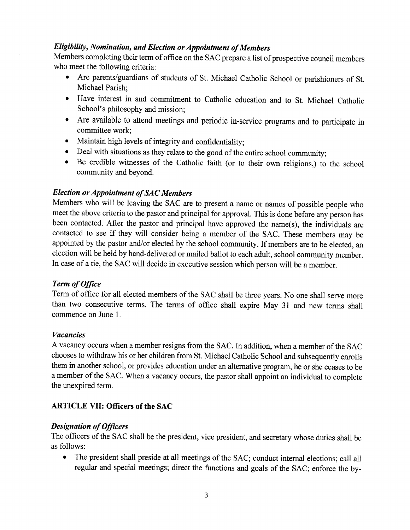#### Eligibility, Nomination, and Election or Appointment of Members

Members completing their term of office on the SAC prepare a list of prospective council members who meet the following criteria:

- Are parents/guardians of students of St. Michael Catholic School or parishioners of St. Michael Parish;
- o Have interest in and commitment to Catholic education and to St. Michael Catholic School's philosophy and mission;
- Are available to attend meetings and periodic in-service programs and to participate in committee work;
- o Maintain high levels of integrity and confidentiality;
- Deal with situations as they relate to the good of the entire school community;
- Be credible witnesses of the Catholic faith (or to their own religions,) to the school community and beyond.

### Election or Appointment of SAC Members

Members who will be leaving the SAC are to present a name or names of possible people who meet the above criteria to the pastor and principal for approval. This is done before any person has been contacted. After the pastor and principal have approved the name(s), the individuals are contacted to see if they will consider being a member of the SAC. These members may be appointed by the pastor and/or elected by the school community. If members are to be elected, an election will be held by hand-delivered or mailed ballot to each adult, school community member. In case of a tie, the SAC will decide in executive session which person will be a member.

#### Term of Office

Term of office for all elected members of the SAC shall be three years. No one shall serve more than two consecutive terms. The terms of office shall expire May 31 and new terms shall commence on June 1.

#### Vacancies

A vacancy occurs when a member resigns from the SAC. In addition, when a member of the SAC chooses to withdraw his or her children from St. Michael Catholic School and subsequently enrolls them in another school, or provides education under an alternative program, he or she ceases to be <sup>a</sup>member of the SAC. When a vacancy occurs, the pastor shall appoint an individual to complete the unexpired term.

#### ARTICLE VII: Officers of the SAC

#### **Designation of Officers**

The officers of the SAC shall be the president, vice president, and secretary whose duties shall be as follows:

• The president shall preside at all meetings of the SAC; conduct internal elections; call all regular and special meetings; direct the functions and goals of the SAC; enforce the by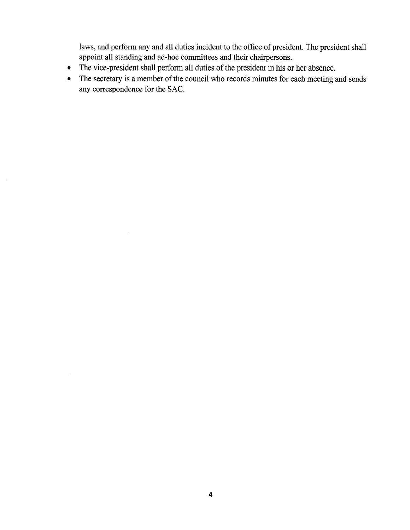laws, and perform any and all duties incident to the office of president. The president shall appoint all standing and ad-hoc committees and their chairpersons.

• The vice-president shall perform all duties of the president in his or her absence.

 $\sim 10^{-1}$ 

 $\bar{z}$ 

• The secretary is a member of the council who records minutes for each meeting and sends any corespondence for the SAC.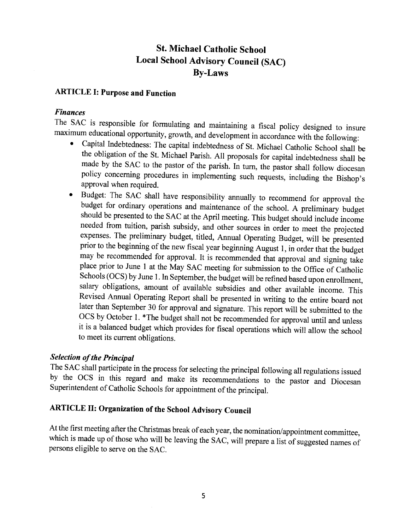# St. Michael Catholic School Local School Advisory Council (SAC) By-Laws

### ARTICLE I: Purpose and Funcfion

#### Finances

- The SAC is responsible for formulating and maintaining a fiscal policy designed to insure maximum educational opportunity, growth, and development in accordance with the following:<br>• Capital Indebtedness: The capital indeb approval when required.
	- o Budget: The SAC shall have responsibility annually to recommend for approval the budget for ordinary operations and maintenance of the school. A preliminary budget should be presented to the SAC at the April meeting. This budget should include income needed from tuition, parish subsidy, and other sources in order to meet the projected expenses. The preliminary budget, titled, Annual Operating Budget, will be presented prior to the beginning of the new fiscal year beginning August 1, in order that the budget may be recommended for approval. It is recommended that approval and signing take place prior to June I at the May SAC meeting for submission to the Office of Catholic Schools (OCS) by June 1. In September, the budget will be refined based upon enrollment, salary obligations, amount of available subsidies and other available income. This Revised Annual Operating Report shall be presented in writing to the entire board not later than September 30 for approval and signature. This report will be submitted to the OCS by October 1. \*The budget shall not be recommended for approval until and unless it is a balanced budget which provides for fiscal operations which will allow the school to meet its current obligations.

Selection of the Principal<br>The SAC shall participate in the process for selecting the principal following all regulations issued by the OCS in this regard and make its recommendations to the pastor and Diocesan Superintendent of catholic Schools for appointment of the principal.

# ARTICLE II: Organization of the School Advisory Council

At the first meeting after the Christmas break of each year, the nomination/appointment committee, which is made up of those who will be leaving the SAC, will prepare a list of suggested names of persons eligible to serve on the SAC.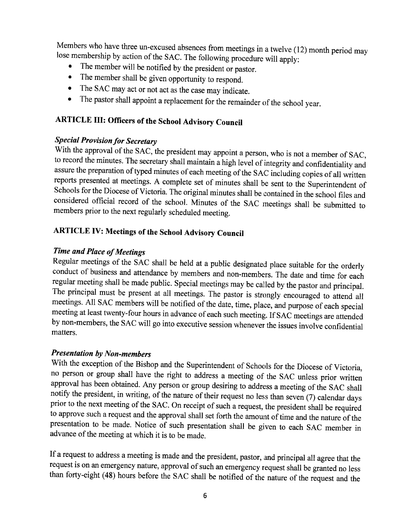Members who have three un-excused absences from meetings in a twelve (12) month period may lose membership by action of the SAC. The following procedure will apply:<br>• The member will be notified by the president or pastor.

- 
- 
- The member shall be given opportunity to respond.<br>• The SAC may act or not act as the case may indicate.
- The SAC may act or not act as the case may indicate.<br>• The pastor shall appoint a replacement for the remainder of the school year.

# ARTICLE III: Officers of the School Advisory Council

Special Provision for Secretary<br>With the approval of the SAC, the president may appoint a person, who is not a member of SAC, to record the minutes. The secretary shall maintain a high level of integrity and confidentiality and assure the preparation of typed minutes of each meeting of the SAC including copies of all written<br>reports presented at meetings. A complete set of minutes shall be sent to the Superintendent of Schools for the Diocese of Victoria. The original minutes shall be contained in the school files and considered official record of the school. Minutes of the SAC meetings shall be submitted to members prior to the next reg

# ARTICLE IV: Meetings of the School Advisory Council

# Time and Place of Meetings

Regular meetings of the SAC shall be held at a public designated place suitable for the orderly conduct of business and attendance by members and non-members. The date and time for each regular meeting shall be made public. Special meetings may be called by the pastor and principal. The principal must be present at all meetings. The pastor is strongly- encouraged to attend all meetings. All SAC members will be notified of the date, time, place, and purpose of each special meeting at least twenty-four hours in advance of each such meeting. If SAC meetings are attended by non-members, the SAC will go into executive session whenever the issues involve confidential matters.

# Presentation by Non-members

With the exception of the Bishop and the Superintendent of Schools for the Diocese of Victoria, no person or group shall have the right to address a meeting of the SAC unless prior written<br>approval has been obtained. Any person or group desiring to address a meeting of the SAC shall notify the president, in writing, of the nature of their request no less than seven (7) calendar days<br>prior to the next meeting of the SAC. On receipt of such a request, the president shall be required<br>to approve such a re presentation to be made. Notice of such presentation shall be given to each SAC member in advance of the meeting at which it is to be made.

If a request to address a meeting is made and the president, pastor, and principal all agree that the request is on an emergency nature, approval of such an emergency request shall be granted no less than forty-eight (48) hours before the SAC shall be notified of the nature of the request and the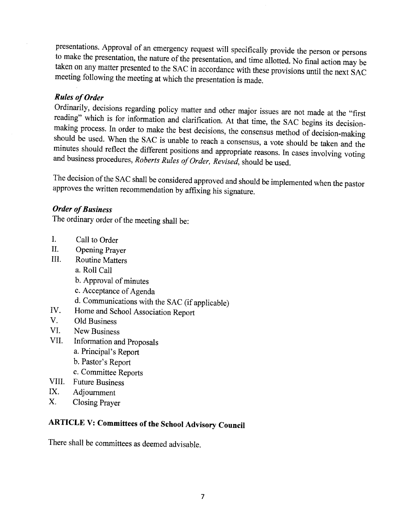presentations. Approval of an emergency request will specifically provide the person or persons to make the presentation, the nature of the presentation, and time allotted. No final action may be taken on any matter presen

# Rules of Order

Ordinarily, decisions regarding policy matter and other major issues are not made at the "first reading" which is for information and clarification. At that time, the SAC begins its decisionmaking process. In order to make the best decisions, the consensus method of decision-making should be used. When the SAC is unable to reach a consensus, a vote should be taken and the minutes should reflect the different

The decision of the SAC shall be considered approved and should be implemented when the pastor approves the written recommendation by affixing his signature.

## Order of Business

The ordinary order of the meeting shall be:

- I. Call to Order
- II. Opening prayer
- III. Routine Matters
	- a. Roll Call
	- b. Approval of minutes
	- c. Acceptance of Agenda
	- d. Communications with the SAC (if applicable)
- ry. Home and School Association Report V. Old Business
- 
- VI. New Business
- VII. Information and proposals
	- a. Principal's Report
	- b. Pastor's Report
	- c. Committee Reports
- VIII. Future Business
- IX. Adjournment
- X. Closing Prayer

# ARTICLE V: Committees of the School Advisory Council

There shall be committees as deemed advisable.